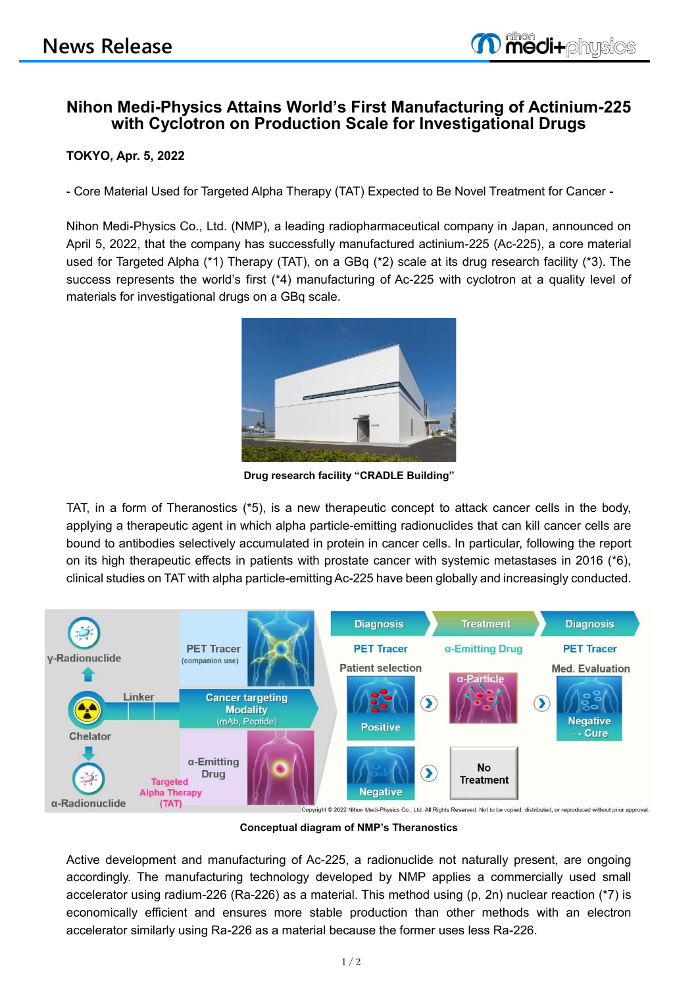# **Nihon Medi-Physics Attains World's First Manufacturing of Actinium-225 with Cyclotron on Production Scale for Investigational Drugs**

## **TOKYO, Apr. 5, 2022**

- Core Material Used for Targeted Alpha Therapy (TAT) Expected to Be Novel Treatment for Cancer -

Nihon Medi-Physics Co., Ltd. (NMP), a leading radiopharmaceutical company in Japan, announced on April 5, 2022, that the company has successfully manufactured actinium-225 (Ac-225), a core material used for Targeted Alpha (\*1) Therapy (TAT), on a GBq (\*2) scale at its drug research facility (\*3). The success represents the world's first (\*4) manufacturing of Ac-225 with cyclotron at a quality level of materials for investigational drugs on a GBq scale.



**Drug research facility "CRADLE Building"**

TAT, in a form of Theranostics (\*5), is a new therapeutic concept to attack cancer cells in the body, applying a therapeutic agent in which alpha particle-emitting radionuclides that can kill cancer cells are bound to antibodies selectively accumulated in protein in cancer cells. In particular, following the report on its high therapeutic effects in patients with prostate cancer with systemic metastases in 2016 (\*6), clinical studies on TAT with alpha particle-emitting Ac-225 have been globally and increasingly conducted.



**Conceptual diagram of NMP's Theranostics**

Active development and manufacturing of Ac-225, a radionuclide not naturally present, are ongoing accordingly. The manufacturing technology developed by NMP applies a commercially used small accelerator using radium-226 (Ra-226) as a material. This method using (p, 2n) nuclear reaction (\*7) is economically efficient and ensures more stable production than other methods with an electron accelerator similarly using Ra-226 as a material because the former uses less Ra-226.